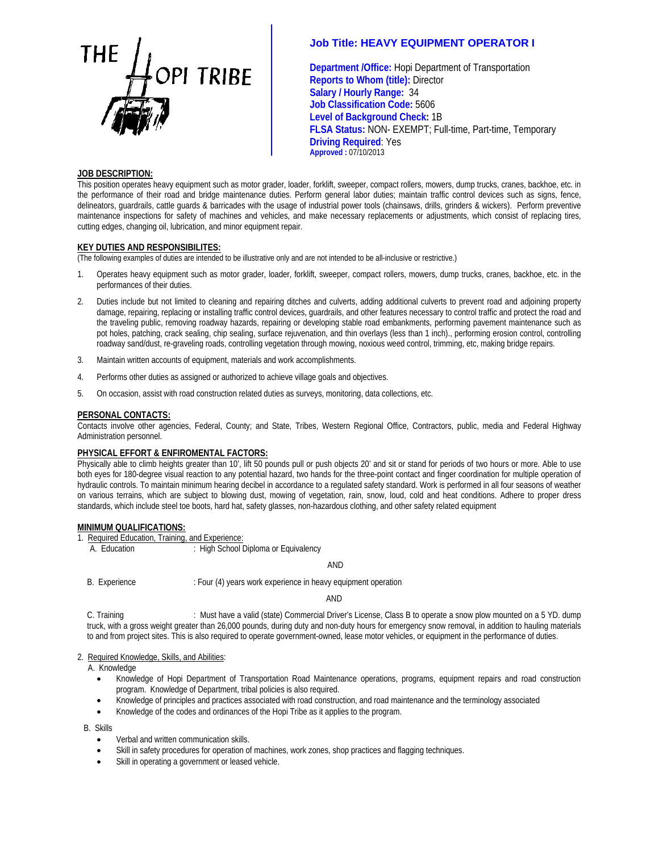

# **Job Title: HEAVY EQUIPMENT OPERATOR I**

**Department /Office:** Hopi Department of Transportation **Reports to Whom (title):** Director  **Salary / Hourly Range:** 34  **Job Classification Code:** 5606 **Level of Background Check:** 1B  **FLSA Status:** NON- EXEMPT; Full-time, Part-time, Temporary **Driving Required**: Yes **Approved :** 07/10/2013

### **JOB DESCRIPTION:**

This position operates heavy equipment such as motor grader, loader, forklift, sweeper, compact rollers, mowers, dump trucks, cranes, backhoe, etc. in the performance of their road and bridge maintenance duties. Perform general labor duties; maintain traffic control devices such as signs, fence, delineators, guardrails, cattle guards & barricades with the usage of industrial power tools (chainsaws, drills, grinders & wickers). Perform preventive maintenance inspections for safety of machines and vehicles, and make necessary replacements or adjustments, which consist of replacing tires, cutting edges, changing oil, lubrication, and minor equipment repair.

## **KEY DUTIES AND RESPONSIBILITES:**

(The following examples of duties are intended to be illustrative only and are not intended to be all-inclusive or restrictive.)

- 1. Operates heavy equipment such as motor grader, loader, forklift, sweeper, compact rollers, mowers, dump trucks, cranes, backhoe, etc. in the performances of their duties.
- 2. Duties include but not limited to cleaning and repairing ditches and culverts, adding additional culverts to prevent road and adjoining property damage, repairing, replacing or installing traffic control devices, guardrails, and other features necessary to control traffic and protect the road and the traveling public, removing roadway hazards, repairing or developing stable road embankments, performing pavement maintenance such as pot holes, patching, crack sealing, chip sealing, surface rejuvenation, and thin overlays (less than 1 inch)., performing erosion control, controlling roadway sand/dust, re-graveling roads, controlling vegetation through mowing, noxious weed control, trimming, etc, making bridge repairs.
- 3. Maintain written accounts of equipment, materials and work accomplishments.
- 4. Performs other duties as assigned or authorized to achieve village goals and objectives.
- 5. On occasion, assist with road construction related duties as surveys, monitoring, data collections, etc.

#### **PERSONAL CONTACTS:**

Contacts involve other agencies, Federal, County; and State, Tribes, Western Regional Office, Contractors, public, media and Federal Highway Administration personnel.

#### **PHYSICAL EFFORT & ENFIROMENTAL FACTORS:**

Physically able to climb heights greater than 10', lift 50 pounds pull or push objects 20' and sit or stand for periods of two hours or more. Able to use both eyes for 180-degree visual reaction to any potential hazard, two hands for the three-point contact and finger coordination for multiple operation of hydraulic controls. To maintain minimum hearing decibel in accordance to a regulated safety standard. Work is performed in all four seasons of weather on various terrains, which are subject to blowing dust, mowing of vegetation, rain, snow, loud, cold and heat conditions. Adhere to proper dress standards, which include steel toe boots, hard hat, safety glasses, non-hazardous clothing, and other safety related equipment

#### **MINIMUM QUALIFICATIONS:**

- 1. Required Education, Training, and Experience:
	- A. Education : High School Diploma or Equivalency

AND

B. Experience : Four (4) years work experience in heavy equipment operation

AND

C. Training **interpretatal Commercial Driver's License**, Class B to operate a snow plow mounted on a 5 YD. dump truck, with a gross weight greater than 26,000 pounds, during duty and non-duty hours for emergency snow removal, in addition to hauling materials to and from project sites. This is also required to operate government-owned, lease motor vehicles, or equipment in the performance of duties.

# 2. Required Knowledge, Skills, and Abilities:

- A. Knowledge
	- Knowledge of Hopi Department of Transportation Road Maintenance operations, programs, equipment repairs and road construction program. Knowledge of Department, tribal policies is also required.
	- Knowledge of principles and practices associated with road construction, and road maintenance and the terminology associated
	- Knowledge of the codes and ordinances of the Hopi Tribe as it applies to the program.

B. Skills

- Verbal and written communication skills.
- Skill in safety procedures for operation of machines, work zones, shop practices and flagging techniques.
- Skill in operating a government or leased vehicle.